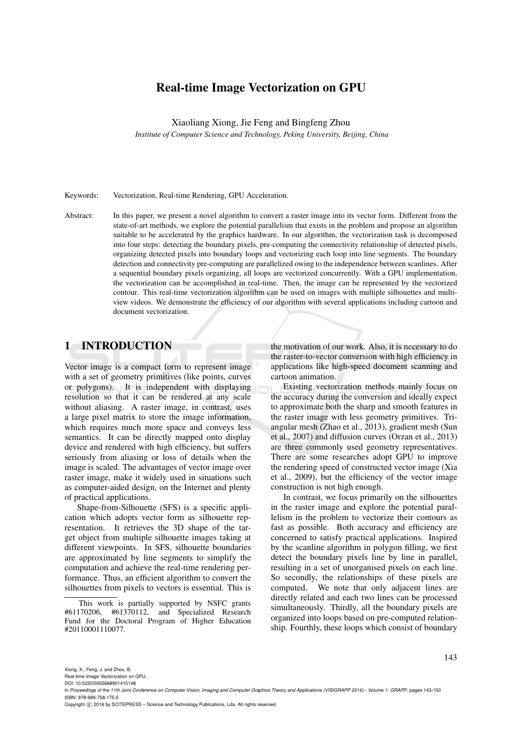# Real-time Image Vectorization on GPU

Xiaoliang Xiong, Jie Feng and Bingfeng Zhou

*Institute of Computer Science and Technology, Peking University, Beijing, China*

Keywords: Vectorization, Real-time Rendering, GPU Acceleration.

Abstract: In this paper, we present a novel algorithm to convert a raster image into its vector form. Different from the state-of-art methods, we explore the potential parallelism that exists in the problem and propose an algorithm suitable to be accelerated by the graphics hardware. In our algorithm, the vectorization task is decomposed into four steps: detecting the boundary pixels, pre-computing the connectivity relationship of detected pixels, organizing detected pixels into boundary loops and vectorizing each loop into line segments. The boundary detection and connectivity pre-computing are parallelized owing to the independence between scanlines. After a sequential boundary pixels organizing, all loops are vectorized concurrently. With a GPU implementation, the vectorization can be accomplished in real-time. Then, the image can be represented by the vectorized contour. This real-time vectorization algorithm can be used on images with multiple silhouettes and multiview videos. We demonstrate the efficiency of our algorithm with several applications including cartoon and document vectorization.

## 1 INTRODUCTION

Vector image is a compact form to represent image with a set of geometry primitives (like points, curves or polygons). It is independent with displaying resolution so that it can be rendered at any scale without aliasing. A raster image, in contrast, uses a large pixel matrix to store the image information, which requires much more space and conveys less semantics. It can be directly mapped onto display device and rendered with high efficiency, but suffers seriously from aliasing or loss of details when the image is scaled. The advantages of vector image over raster image, make it widely used in situations such as computer-aided design, on the Internet and plenty of practical applications.

Shape-from-Silhouette (SFS) is a specific application which adopts vector form as silhouette representation. It retrieves the 3D shape of the target object from multiple silhouette images taking at different viewpoints. In SFS, silhouette boundaries are approximated by line segments to simplify the computation and achieve the real-time rendering performance. Thus, an efficient algorithm to convert the silhouettes from pixels to vectors is essential. This is

the motivation of our work. Also, it is necessary to do the raster-to-vector conversion with high efficiency in applications like high-speed document scanning and cartoon animation.

Existing vectorization methods mainly focus on the accuracy during the conversion and ideally expect to approximate both the sharp and smooth features in the raster image with less geometry primitives. Triangular mesh (Zhao et al., 2013), gradient mesh (Sun et al., 2007) and diffusion curves (Orzan et al., 2013) are three commonly used geometry representatives. There are some researches adopt GPU to improve the rendering speed of constructed vector image (Xia et al., 2009), but the efficiency of the vector image construction is not high enough.

In contrast, we focus primarily on the silhouettes in the raster image and explore the potential parallelism in the problem to vectorize their contours as fast as possible. Both accuracy and efficiency are concerned to satisfy practical applications. Inspired by the scanline algorithm in polygon filling, we first detect the boundary pixels line by line in parallel, resulting in a set of unorganised pixels on each line. So secondly, the relationships of these pixels are computed. We note that only adjacent lines are directly related and each two lines can be processed simultaneously. Thirdly, all the boundary pixels are organized into loops based on pre-computed relationship. Fourthly, these loops which consist of boundary

143

This work is partially supported by NSFC grants #61170206, #61370112, and Specialized Research Fund for the Doctoral Program of Higher Education #20110001110077.

Real-time Image Vectorization on GPU.

DOI: 10.5220/0005668901410148

In *Proceedings of the 11th Joint Conference on Computer Vision, Imaging and Computer Graphics Theory and Applications (VISIGRAPP 2016) - Volume 1: GRAPP*, pages 143-150 ISBN: 978-989-758-175-5

Copyright © 2016 by SCITEPRESS - Science and Technology Publications, Lda. All rights reserved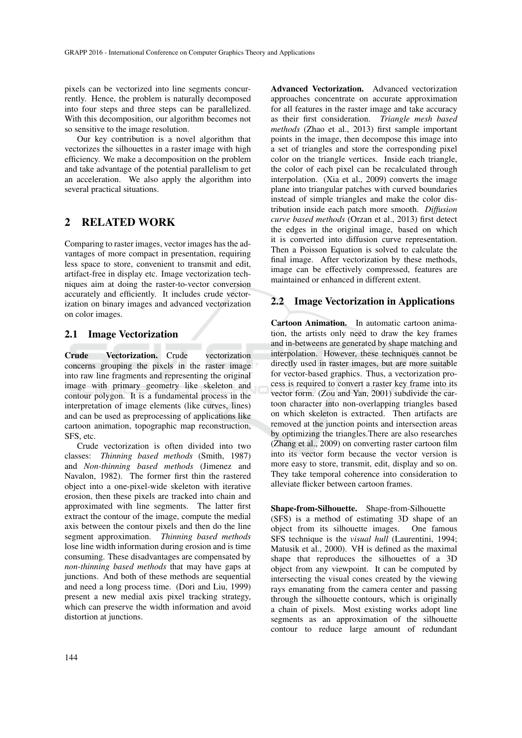pixels can be vectorized into line segments concurrently. Hence, the problem is naturally decomposed into four steps and three steps can be parallelized. With this decomposition, our algorithm becomes not so sensitive to the image resolution.

Our key contribution is a novel algorithm that vectorizes the silhouettes in a raster image with high efficiency. We make a decomposition on the problem and take advantage of the potential parallelism to get an acceleration. We also apply the algorithm into several practical situations.

## 2 RELATED WORK

Comparing to raster images, vector images has the advantages of more compact in presentation, requiring less space to store, convenient to transmit and edit, artifact-free in display etc. Image vectorization techniques aim at doing the raster-to-vector conversion accurately and efficiently. It includes crude vectorization on binary images and advanced vectorization on color images.

#### 2.1 Image Vectorization

Crude Vectorization. Crude vectorization concerns grouping the pixels in the raster image into raw line fragments and representing the original image with primary geometry like skeleton and contour polygon. It is a fundamental process in the interpretation of image elements (like curves, lines) and can be used as preprocessing of applications like cartoon animation, topographic map reconstruction, SFS, etc.

Crude vectorization is often divided into two classes: *Thinning based methods* (Smith, 1987) and *Non-thinning based methods* (Jimenez and Navalon, 1982). The former first thin the rastered object into a one-pixel-wide skeleton with iterative erosion, then these pixels are tracked into chain and approximated with line segments. The latter first extract the contour of the image, compute the medial axis between the contour pixels and then do the line segment approximation. *Thinning based methods* lose line width information during erosion and is time consuming. These disadvantages are compensated by *non-thinning based methods* that may have gaps at junctions. And both of these methods are sequential and need a long process time. (Dori and Liu, 1999) present a new medial axis pixel tracking strategy, which can preserve the width information and avoid distortion at junctions.

Advanced Vectorization. Advanced vectorization approaches concentrate on accurate approximation for all features in the raster image and take accuracy as their first consideration. *Triangle mesh based methods* (Zhao et al., 2013) first sample important points in the image, then decompose this image into a set of triangles and store the corresponding pixel color on the triangle vertices. Inside each triangle, the color of each pixel can be recalculated through interpolation. (Xia et al., 2009) converts the image plane into triangular patches with curved boundaries instead of simple triangles and make the color distribution inside each patch more smooth. *Diffusion curve based methods* (Orzan et al., 2013) first detect the edges in the original image, based on which it is converted into diffusion curve representation. Then a Poisson Equation is solved to calculate the final image. After vectorization by these methods, image can be effectively compressed, features are maintained or enhanced in different extent.

#### 2.2 Image Vectorization in Applications

Cartoon Animation. In automatic cartoon animation, the artists only need to draw the key frames and in-betweens are generated by shape matching and interpolation. However, these techniques cannot be directly used in raster images, but are more suitable for vector-based graphics. Thus, a vectorization process is required to convert a raster key frame into its vector form. (Zou and Yan, 2001) subdivide the cartoon character into non-overlapping triangles based on which skeleton is extracted. Then artifacts are removed at the junction points and intersection areas by optimizing the triangles.There are also researches (Zhang et al., 2009) on converting raster cartoon film into its vector form because the vector version is more easy to store, transmit, edit, display and so on. They take temporal coherence into consideration to alleviate flicker between cartoon frames.

Shape-from-Silhouette. Shape-from-Silhouette (SFS) is a method of estimating 3D shape of an object from its silhouette images. One famous SFS technique is the *visual hull* (Laurentini, 1994; Matusik et al., 2000). VH is defined as the maximal shape that reproduces the silhouettes of a 3D object from any viewpoint. It can be computed by intersecting the visual cones created by the viewing rays emanating from the camera center and passing through the silhouette contours, which is originally a chain of pixels. Most existing works adopt line segments as an approximation of the silhouette contour to reduce large amount of redundant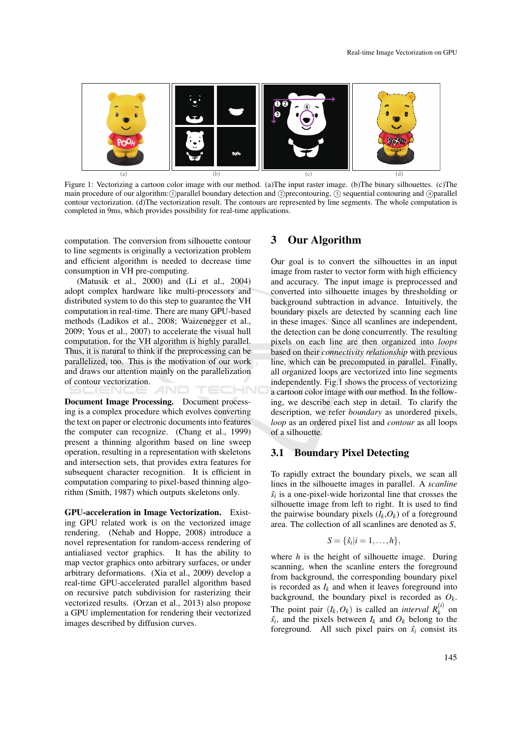

Figure 1: Vectorizing a cartoon color image with our method. (a)The input raster image. (b)The binary silhouettes. (c)The main procedure of our algorithm: (1) parallel boundary detection and Q precontouring, 3 sequential contouring and 4) parallel contour vectorization. (d)The vectorization result. The contours are represented by line segments. The whole computation is completed in 9ms, which provides possibility for real-time applications.

computation. The conversion from silhouette contour to line segments is originally a vectorization problem and efficient algorithm is needed to decrease time consumption in VH pre-computing.

(Matusik et al., 2000) and (Li et al., 2004) adopt complex hardware like multi-processors and distributed system to do this step to guarantee the VH computation in real-time. There are many GPU-based methods (Ladikos et al., 2008; Waizenegger et al., 2009; Yous et al., 2007) to accelerate the visual hull computation, for the VH algorithm is highly parallel. Thus, it is natural to think if the preprocessing can be parallelized, too. This is the motivation of our work and draws our attention mainly on the parallelization of contour vectorization. TECHNO

Document Image Processing. Document processing is a complex procedure which evolves converting the text on paper or electronic documents into features the computer can recognize. (Chang et al., 1999) present a thinning algorithm based on line sweep operation, resulting in a representation with skeletons and intersection sets, that provides extra features for subsequent character recognition. It is efficient in computation comparing to pixel-based thinning algorithm (Smith, 1987) which outputs skeletons only.

GPU-acceleration in Image Vectorization. Existing GPU related work is on the vectorized image rendering. (Nehab and Hoppe, 2008) introduce a novel representation for random-access rendering of antialiased vector graphics. It has the ability to map vector graphics onto arbitrary surfaces, or under arbitrary deformations. (Xia et al., 2009) develop a real-time GPU-accelerated parallel algorithm based on recursive patch subdivision for rasterizing their vectorized results. (Orzan et al., 2013) also propose a GPU implementation for rendering their vectorized images described by diffusion curves.

#### 3 Our Algorithm

Our goal is to convert the silhouettes in an input image from raster to vector form with high efficiency and accuracy. The input image is preprocessed and converted into silhouette images by thresholding or background subtraction in advance. Intuitively, the boundary pixels are detected by scanning each line in these images. Since all scanlines are independent, the detection can be done concurrently. The resulting pixels on each line are then organized into *loops* based on their *connectivity relationship* with previous line, which can be precomputed in parallel. Finally, all organized loops are vectorized into line segments independently. Fig.1 shows the process of vectorizing a cartoon color image with our method. In the following, we describe each step in detail. To clarify the description, we refer *boundary* as unordered pixels, *loop* as an ordered pixel list and *contour* as all loops of a silhouette.

#### 3.1 Boundary Pixel Detecting

To rapidly extract the boundary pixels, we scan all lines in the silhouette images in parallel. A *scanline*  $\hat{s}_i$  is a one-pixel-wide horizontal line that crosses the silhouette image from left to right. It is used to find the pairwise boundary pixels  $(I_k, O_k)$  of a foreground area. The collection of all scanlines are denoted as *S*,

$$
S = \{\hat{s}_i | i = 1, \ldots, h\},\
$$

where *h* is the height of silhouette image. During scanning, when the scanline enters the foreground from background, the corresponding boundary pixel is recorded as  $I_k$  and when it leaves foreground into background, the boundary pixel is recorded as  $O_k$ . The point pair  $(I_k, O_k)$  is called an *interval*  $R_k^{(i)}$  on  $\hat{s}_i$ , and the pixels between  $I_k$  and  $O_k$  belong to the foreground. All such pixel pairs on  $\hat{s}$ *i* consist its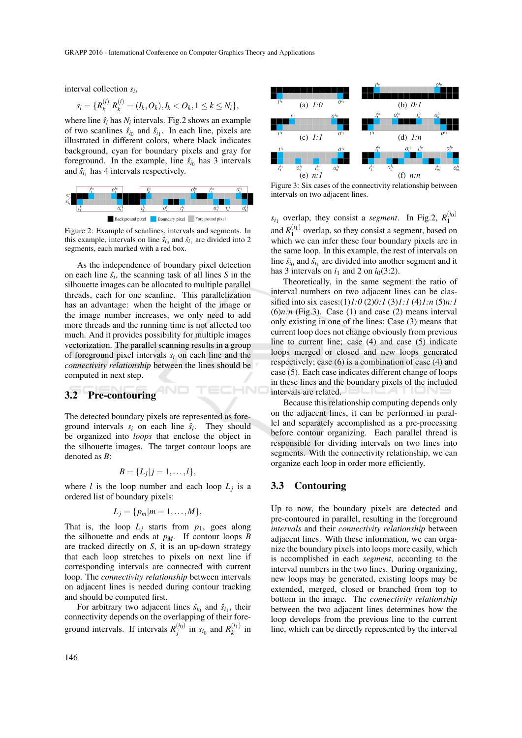interval collection *s<sup>i</sup>* ,

$$
s_i = \{R_k^{(i)} | R_k^{(i)} = (I_k, O_k), I_k < O_k, 1 \leq k \leq N_i\},\
$$

where line  $\hat{s}_i$  has  $N_i$  intervals. Fig.2 shows an example of two scanlines  $\hat{s}_{i_0}$  and  $\hat{s}_{i_1}$ . In each line, pixels are illustrated in different colors, where black indicates background, cyan for boundary pixels and gray for foreground. In the example, line  $\hat{s}_{i_0}$  has 3 intervals and  $\hat{s}_{i_1}$  has 4 intervals respectively.



Figure 2: Example of scanlines, intervals and segments. In this example, intervals on line  $\hat{s}_{i_0}$  and  $\hat{s}_{i_1}$  are divided into 2 segments, each marked with a red box.

As the independence of boundary pixel detection on each line  $\hat{s}_i$ , the scanning task of all lines *S* in the silhouette images can be allocated to multiple parallel threads, each for one scanline. This parallelization has an advantage: when the height of the image or the image number increases, we only need to add more threads and the running time is not affected too much. And it provides possibility for multiple images vectorization. The parallel scanning results in a group of foreground pixel intervals *s<sup>i</sup>* on each line and the *connectivity relationship* between the lines should be computed in next step.

#### 3.2 Pre-contouring

The detected boundary pixels are represented as foreground intervals  $s_i$  on each line  $\hat{s}_i$ . They should be organized into *loops* that enclose the object in the silhouette images. The target contour loops are denoted as *B*:

$$
B=\{L_j|j=1,\ldots,l\},\,
$$

where *l* is the loop number and each loop  $L_j$  is a ordered list of boundary pixels:

$$
L_j=\{p_m|m=1,\ldots,M\},\,
$$

That is, the loop  $L_j$  starts from  $p_1$ , goes along the silhouette and ends at  $p_M$ . If contour loops *B* are tracked directly on *S*, it is an up-down strategy that each loop stretches to pixels on next line if corresponding intervals are connected with current loop. The *connectivity relationship* between intervals on adjacent lines is needed during contour tracking and should be computed first.

For arbitrary two adjacent lines  $\hat{s}_{i_0}$  and  $\hat{s}_{i_1}$ , their connectivity depends on the overlapping of their foreground intervals. If intervals  $R_j^{(i_0)}$  in  $s_{i_0}$  and  $R_k^{(i_1)}$  in



Figure 3: Six cases of the connectivity relationship between intervals on two adjacent lines.

 $s_{i_1}$  overlap, they consist a *segment*. In Fig.2,  $R_1^{(i_0)}$ and  $R_1^{(i_1)}$  overlap, so they consist a segment, based on which we can infer these four boundary pixels are in the same loop. In this example, the rest of intervals on line  $\hat{s}_{i_0}$  and  $\hat{s}_{i_1}$  are divided into another segment and it has 3 intervals on  $i_1$  and 2 on  $i_0(3:2)$ .

Theoretically, in the same segment the ratio of interval numbers on two adjacent lines can be classified into six cases:(1)*1:0* (2)*0:1* (3)*1:1* (4)*1:n* (5)*n:1*  $(6)n:n$  (Fig.3). Case  $(1)$  and case  $(2)$  means interval only existing in one of the lines; Case (3) means that current loop does not change obviously from previous line to current line; case (4) and case (5) indicate loops merged or closed and new loops generated respectively; case (6) is a combination of case (4) and case (5). Each case indicates different change of loops in these lines and the boundary pixels of the included intervals are related.

Because this relationship computing depends only on the adjacent lines, it can be performed in parallel and separately accomplished as a pre-processing before contour organizing. Each parallel thread is responsible for dividing intervals on two lines into segments. With the connectivity relationship, we can organize each loop in order more efficiently.

#### 3.3 Contouring

HNC

Up to now, the boundary pixels are detected and pre-contoured in parallel, resulting in the foreground *intervals* and their *connectivity relationship* between adjacent lines. With these information, we can organize the boundary pixels into loops more easily, which is accomplished in each *segment*, according to the interval numbers in the two lines. During organizing, new loops may be generated, existing loops may be extended, merged, closed or branched from top to bottom in the image. The *connectivity relationship* between the two adjacent lines determines how the loop develops from the previous line to the current line, which can be directly represented by the interval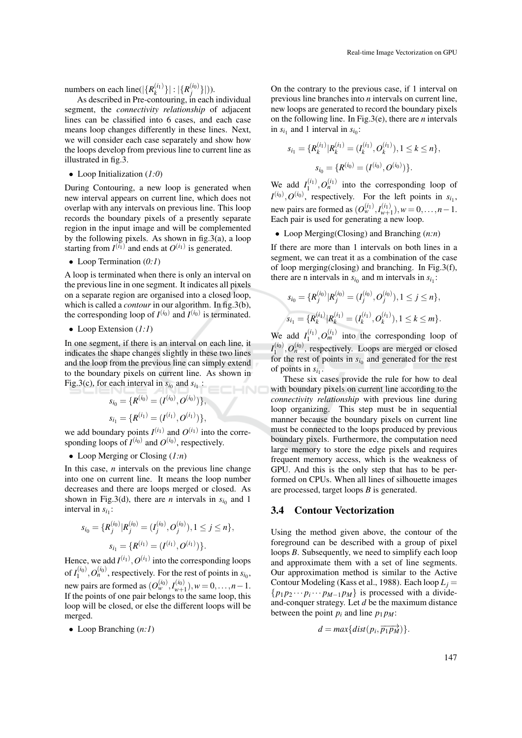numbers on each line( $|\{R_k^{(i_1)}\}|: |\{R_j^{(i_0)}\}|$ )).

As described in Pre-contouring, in each individual segment, the *connectivity relationship* of adjacent lines can be classified into 6 cases, and each case means loop changes differently in these lines. Next, we will consider each case separately and show how the loops develop from previous line to current line as illustrated in fig.3.

• Loop Initialization (*1:0*)

During Contouring, a new loop is generated when new interval appears on current line, which does not overlap with any intervals on previous line. This loop records the boundary pixels of a presently separate region in the input image and will be complemented by the following pixels. As shown in  $fig.3(a)$ , a loop starting from  $I^{(i_1)}$  and ends at  $O^{(i_1)}$  is generated.

• Loop Termination (*0:1*)

A loop is terminated when there is only an interval on the previous line in one segment. It indicates all pixels on a separate region are organised into a closed loop, which is called a *contour* in our algorithm. In fig.3(b), the corresponding loop of  $I^{(i_0)}$  and  $I^{(i_0)}$  is terminated.

• Loop Extension (*1:1*)

In one segment, if there is an interval on each line, it indicates the shape changes slightly in these two lines and the loop from the previous line can simply extend to the boundary pixels on current line. As shown in Fig.3(c), for each interval in  $s_{i_0}$  and  $s_{i_1}$ : INC

$$
s_{i_0} = \{R^{(i_0)} = (I^{(i_0)}, O^{(i_0)})\},\,
$$
  

$$
s_{i_1} = \{R^{(i_1)} = (I^{(i_1)}, O^{(i_1)})\},\,
$$

we add boundary points  $I^{(i_1)}$  and  $O^{(i_1)}$  into the corresponding loops of  $I^{(i_0)}$  and  $O^{(i_0)}$ , respectively.

• Loop Merging or Closing (*1:n*)

In this case, *n* intervals on the previous line change into one on current line. It means the loop number decreases and there are loops merged or closed. As shown in Fig.3(d), there are *n* intervals in  $s_{i_0}$  and 1 interval in  $s_{i_1}$ :

$$
s_{i_0} = \{R_j^{(i_0)} | R_j^{(i_0)} = (I_j^{(i_0)}, O_j^{(i_0)}), 1 \le j \le n\},
$$
  

$$
s_{i_1} = \{R^{(i_1)} = (I^{(i_1)}, O^{(i_1)})\}.
$$

Hence, we add  $I^{(i_1)}$ ,  $O^{(i_1)}$  into the corresponding loops of  $I_1^{(i_0)}$ ,  $O_n^{(i_0)}$ , respectively. For the rest of points in  $s_{i_0}$ , new pairs are formed as  $(O_{w}^{(i_0)}, I_{w+1}^{(i_0)}), w = 0, \ldots, n-1.$ If the points of one pair belongs to the same loop, this loop will be closed, or else the different loops will be merged.

• Loop Branching (*n:1*)

On the contrary to the previous case, if 1 interval on previous line branches into *n* intervals on current line, new loops are generated to record the boundary pixels on the following line. In Fig.3(e), there are *n* intervals in  $s_{i_1}$  and 1 interval in  $s_{i_0}$ :

$$
s_{i_1} = \{R_k^{(i_1)} | R_k^{(i_1)} = (I_k^{(i_1)}, O_k^{(i_1)}), 1 \le k \le n\},
$$
  

$$
s_{i_0} = \{R^{(i_0)} = (I^{(i_0)}, O^{(i_0)})\}.
$$

We add  $I_1^{(i_1)}$ ,  $O_n^{(i_1)}$  into the corresponding loop of  $I^{(i_0)}$ ,  $O^{(i_0)}$ , respectively. For the left points in  $s_{i_1}$ , new pairs are formed as  $(O_{w}^{(i_1)}, I_{w+1}^{(i_1)}), w = 0, ..., n-1$ . Each pair is used for generating a new loop.

• Loop Merging(Closing) and Branching (*n:n*)

If there are more than 1 intervals on both lines in a segment, we can treat it as a combination of the case of loop merging(closing) and branching. In Fig.3(f), there are n intervals in  $s_{i_0}$  and m intervals in  $s_{i_1}$ :

$$
s_{i_0} = \{R_j^{(i_0)} | R_j^{(i_0)} = (I_j^{(i_0)}, O_j^{(i_0)}), 1 \le j \le n\},
$$
  

$$
s_{i_1} = \{R_k^{(i_1)} | R_k^{(i_1)} = (I_k^{(i_1)}, O_k^{(i_1)}), 1 \le k \le m\}.
$$

We add  $I_1^{(i_1)}$ ,  $O_m^{(i_1)}$  into the corresponding loop of  $I_1^{(i_0)}$ ,  $O_n^{(i_0)}$ , respectively. Loops are merged or closed for the rest of points in  $s_{i_0}$  and generated for the rest of points in  $s_{i_1}$ .

These six cases provide the rule for how to deal with boundary pixels on current line according to the *connectivity relationship* with previous line during loop organizing. This step must be in sequential manner because the boundary pixels on current line must be connected to the loops produced by previous boundary pixels. Furthermore, the computation need large memory to store the edge pixels and requires frequent memory access, which is the weakness of GPU. And this is the only step that has to be performed on CPUs. When all lines of silhouette images are processed, target loops *B* is generated.

#### 3.4 Contour Vectorization

Using the method given above, the contour of the foreground can be described with a group of pixel loops *B*. Subsequently, we need to simplify each loop and approximate them with a set of line segments. Our approximation method is similar to the Active Contour Modeling (Kass et al., 1988). Each loop  $L_i =$  $\{p_1 p_2 \cdots p_i \cdots p_{M-1} p_M\}$  is processed with a divideand-conquer strategy. Let *d* be the maximum distance between the point  $p_i$  and line  $p_1 p_M$ :

$$
d = max{dist(p_i, \overrightarrow{p_1 p_M})}.
$$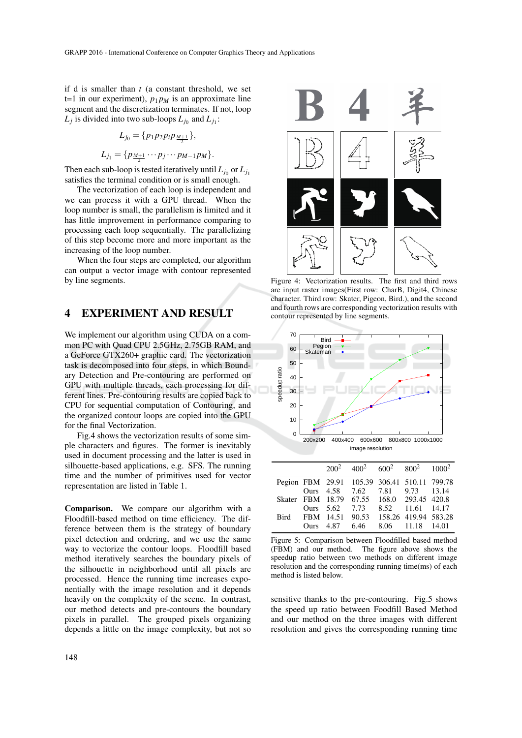if d is smaller than *t* (a constant threshold, we set t=1 in our experiment),  $p_1 p_M$  is an approximate line segment and the discretization terminates. If not, loop  $L_j$  is divided into two sub-loops  $L_{j_0}$  and  $L_{j_1}$ :

$$
L_{j_0} = \{p_1 p_2 p_i p_{\frac{M+1}{2}}\},
$$
  

$$
L_{j_1} = \{p_{\frac{M+1}{2}} \cdots p_j \cdots p_{M-1} p_M\}.
$$

Then each sub-loop is tested iteratively until  $L_{j_0}$  or  $L_{j_1}$ satisfies the terminal condition or is small enough.

The vectorization of each loop is independent and we can process it with a GPU thread. When the loop number is small, the parallelism is limited and it has little improvement in performance comparing to processing each loop sequentially. The parallelizing of this step become more and more important as the increasing of the loop number.

When the four steps are completed, our algorithm can output a vector image with contour represented by line segments.

## 4 EXPERIMENT AND RESULT

We implement our algorithm using CUDA on a common PC with Quad CPU 2.5GHz, 2.75GB RAM, and a GeForce GTX260+ graphic card. The vectorization task is decomposed into four steps, in which Boundary Detection and Pre-contouring are performed on GPU with multiple threads, each processing for different lines. Pre-contouring results are copied back to CPU for sequential computation of Contouring, and the organized contour loops are copied into the GPU for the final Vectorization.

Fig.4 shows the vectorization results of some simple characters and figures. The former is inevitably used in document processing and the latter is used in silhouette-based applications, e.g. SFS. The running time and the number of primitives used for vector representation are listed in Table 1.

Comparison. We compare our algorithm with a Floodfill-based method on time efficiency. The difference between them is the strategy of boundary pixel detection and ordering, and we use the same way to vectorize the contour loops. Floodfill based method iteratively searches the boundary pixels of the silhouette in neighborhood until all pixels are processed. Hence the running time increases exponentially with the image resolution and it depends heavily on the complexity of the scene. In contrast, our method detects and pre-contours the boundary pixels in parallel. The grouped pixels organizing depends a little on the image complexity, but not so



Figure 4: Vectorization results. The first and third rows are input raster images(First row: CharB, Digit4, Chinese character. Third row: Skater, Pigeon, Bird.), and the second and fourth rows are corresponding vectorization results with contour represented by line segments.



|  |  | $200^2$ $400^2$ $600^2$ $800^2$ $1000^2$     |                  |  |
|--|--|----------------------------------------------|------------------|--|
|  |  | Pegion FBM 29.91 105.39 306.41 510.11 799.78 |                  |  |
|  |  | Ours 4.58 7.62 7.81 9.73 13.14               |                  |  |
|  |  | Skater FBM 18.79 67.55 168.0 293.45 420.8    |                  |  |
|  |  | Ours 5.62 7.73                               | 8.52 11.61 14.17 |  |
|  |  | Bird FBM 14.51 90.53 158.26 419.94 583.28    |                  |  |
|  |  | Ours 4.87 6.46 8.06 11.18 14.01              |                  |  |
|  |  |                                              |                  |  |

Figure 5: Comparison between Floodfilled based method (FBM) and our method. The figure above shows the speedup ratio between two methods on different image resolution and the corresponding running time(ms) of each method is listed below.

sensitive thanks to the pre-contouring. Fig.5 shows the speed up ratio between Foodfill Based Method and our method on the three images with different resolution and gives the corresponding running time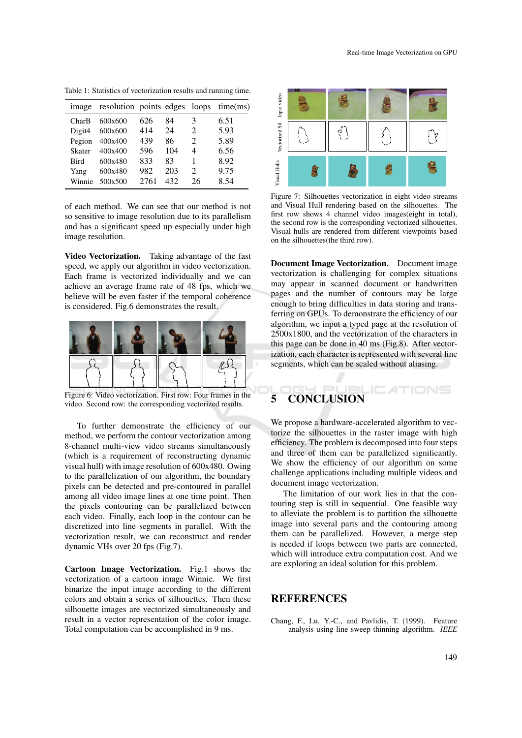Table 1: Statistics of vectorization results and running time.

|             | image resolution points edges loops time(ms) |      |     |                             |      |
|-------------|----------------------------------------------|------|-----|-----------------------------|------|
| CharB       | 600x600                                      | 626  | 84  | 3                           | 6.51 |
| Digit4      | 600x600                                      | 414  | 24  | $\mathcal{D}_{\mathcal{L}}$ | 5.93 |
| Pegion      | 400x400                                      | 439  | 86  | $\mathcal{D}_{\mathcal{L}}$ | 5.89 |
| Skater      | 400x400                                      | 596  | 104 | 4                           | 6.56 |
| <b>Bird</b> | 600x480                                      | 833  | 83  | 1                           | 8.92 |
| Yang        | 600x480                                      | 982  | 203 | $\mathfrak{D}$              | 9.75 |
|             | Winnie $500x500$                             | 2761 | 432 | 26                          | 8.54 |

of each method. We can see that our method is not so sensitive to image resolution due to its parallelism and has a significant speed up especially under high image resolution.

Video Vectorization. Taking advantage of the fast speed, we apply our algorithm in video vectorization. Each frame is vectorized individually and we can achieve an average frame rate of 48 fps, which we believe will be even faster if the temporal coherence is considered. Fig.6 demonstrates the result.



Figure 6: Video vectorization. First row: Four frames in the video. Second row: the corresponding vectorized results.

To further demonstrate the efficiency of our method, we perform the contour vectorization among 8-channel multi-view video streams simultaneously (which is a requirement of reconstructing dynamic visual hull) with image resolution of 600x480. Owing to the parallelization of our algorithm, the boundary pixels can be detected and pre-contoured in parallel among all video image lines at one time point. Then the pixels contouring can be parallelized between each video. Finally, each loop in the contour can be discretized into line segments in parallel. With the vectorization result, we can reconstruct and render dynamic VHs over 20 fps (Fig.7).

Cartoon Image Vectorization. Fig.1 shows the vectorization of a cartoon image Winnie. We first binarize the input image according to the different colors and obtain a series of silhouettes. Then these silhouette images are vectorized simultaneously and result in a vector representation of the color image. Total computation can be accomplished in 9 ms.



Figure 7: Silhouettes vectorization in eight video streams and Visual Hull rendering based on the silhouettes. The first row shows 4 channel video images(eight in total), the second row is the corresponding vectorized silhouettes. Visual hulls are rendered from different viewpoints based on the silhouettes(the third row).

Document Image Vectorization. Document image vectorization is challenging for complex situations may appear in scanned document or handwritten pages and the number of contours may be large enough to bring difficulties in data storing and transferring on GPUs. To demonstrate the efficiency of our algorithm, we input a typed page at the resolution of 2500x1800, and the vectorization of the characters in this page can be done in 40 ms (Fig.8). After vectorization, each character is represented with several line segments, which can be scaled without aliasing.

# 5 CONCLUSION

We propose a hardware-accelerated algorithm to vectorize the silhouettes in the raster image with high efficiency. The problem is decomposed into four steps and three of them can be parallelized significantly. We show the efficiency of our algorithm on some challenge applications including multiple videos and document image vectorization.

The limitation of our work lies in that the contouring step is still in sequential. One feasible way to alleviate the problem is to partition the silhouette image into several parts and the contouring among them can be parallelized. However, a merge step is needed if loops between two parts are connected, which will introduce extra computation cost. And we are exploring an ideal solution for this problem.

## **REFERENCES**

Chang, F., Lu, Y.-C., and Pavlidis, T. (1999). Feature analysis using line sweep thinning algorithm. *IEEE*